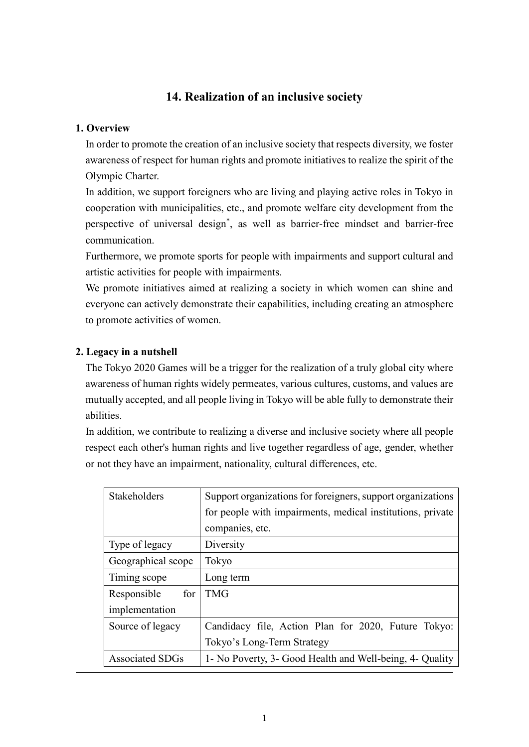## **14. Realization of an inclusive society**

#### **1. Overview**

In order to promote the creation of an inclusive society that respects diversity, we foster awareness of respect for human rights and promote initiatives to realize the spirit of the Olympic Charter.

In addition, we support foreigners who are living and playing active roles in Tokyo in cooperation with municipalities, etc., and promote welfare city development from the perspective of universal design\* , as well as barrier-free mindset and barrier-free communication.

Furthermore, we promote sports for people with impairments and support cultural and artistic activities for people with impairments.

We promote initiatives aimed at realizing a society in which women can shine and everyone can actively demonstrate their capabilities, including creating an atmosphere to promote activities of women.

### **2. Legacy in a nutshell**

The Tokyo 2020 Games will be a trigger for the realization of a truly global city where awareness of human rights widely permeates, various cultures, customs, and values are mutually accepted, and all people living in Tokyo will be able fully to demonstrate their abilities.

In addition, we contribute to realizing a diverse and inclusive society where all people respect each other's human rights and live together regardless of age, gender, whether or not they have an impairment, nationality, cultural differences, etc.

| Stakeholders           | Support organizations for foreigners, support organizations |  |  |
|------------------------|-------------------------------------------------------------|--|--|
|                        | for people with impairments, medical institutions, private  |  |  |
|                        | companies, etc.                                             |  |  |
| Type of legacy         | Diversity                                                   |  |  |
| Geographical scope     | Tokyo                                                       |  |  |
| Timing scope           | Long term                                                   |  |  |
| for<br>Responsible     | <b>TMG</b>                                                  |  |  |
| implementation         |                                                             |  |  |
| Source of legacy       | Candidacy file, Action Plan for 2020, Future Tokyo:         |  |  |
|                        | Tokyo's Long-Term Strategy                                  |  |  |
| <b>Associated SDGs</b> | 1- No Poverty, 3- Good Health and Well-being, 4- Quality    |  |  |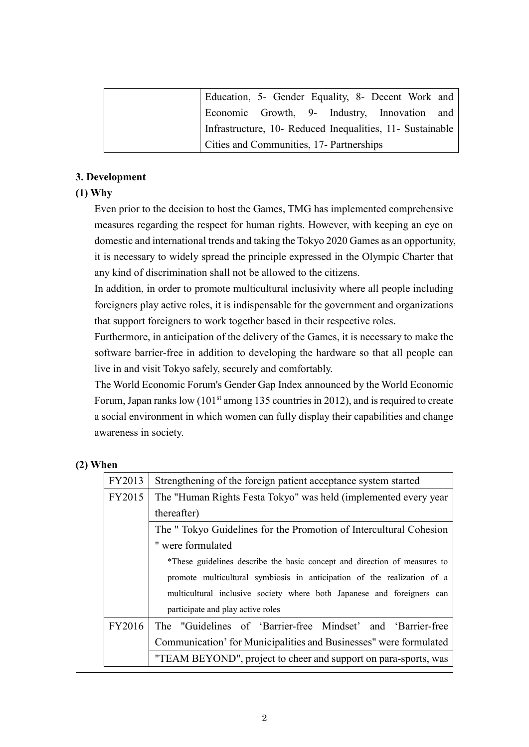| Education, 5- Gender Equality, 8- Decent Work and         |  |  |  |
|-----------------------------------------------------------|--|--|--|
| Economic Growth, 9- Industry, Innovation and              |  |  |  |
| Infrastructure, 10- Reduced Inequalities, 11- Sustainable |  |  |  |
| Cities and Communities, 17- Partnerships                  |  |  |  |

#### **3. Development**

#### **(1) Why**

Even prior to the decision to host the Games, TMG has implemented comprehensive measures regarding the respect for human rights. However, with keeping an eye on domestic and international trends and taking the Tokyo 2020 Games as an opportunity, it is necessary to widely spread the principle expressed in the Olympic Charter that any kind of discrimination shall not be allowed to the citizens.

In addition, in order to promote multicultural inclusivity where all people including foreigners play active roles, it is indispensable for the government and organizations that support foreigners to work together based in their respective roles.

Furthermore, in anticipation of the delivery of the Games, it is necessary to make the software barrier-free in addition to developing the hardware so that all people can live in and visit Tokyo safely, securely and comfortably.

The World Economic Forum's Gender Gap Index announced by the World Economic Forum, Japan ranks low  $(101<sup>st</sup>$  among 135 countries in 2012), and is required to create a social environment in which women can fully display their capabilities and change awareness in society.

#### **(2) When**

| FY2013 | Strengthening of the foreign patient acceptance system started            |  |  |
|--------|---------------------------------------------------------------------------|--|--|
| FY2015 | The "Human Rights Festa Tokyo" was held (implemented every year           |  |  |
|        | thereafter)                                                               |  |  |
|        | The "Tokyo Guidelines for the Promotion of Intercultural Cohesion         |  |  |
|        | " were formulated                                                         |  |  |
|        | *These guidelines describe the basic concept and direction of measures to |  |  |
|        | promote multicultural symbiosis in anticipation of the realization of a   |  |  |
|        | multicultural inclusive society where both Japanese and foreigners can    |  |  |
|        | participate and play active roles                                         |  |  |
| FY2016 | The "Guidelines of 'Barrier-free Mindset' and 'Barrier-free               |  |  |
|        | Communication' for Municipalities and Businesses" were formulated         |  |  |
|        | "TEAM BEYOND", project to cheer and support on para-sports, was           |  |  |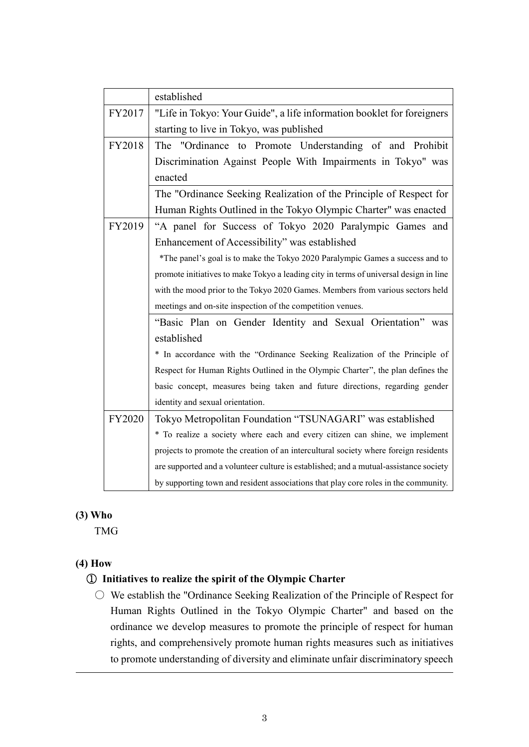|        | established                                                                           |  |
|--------|---------------------------------------------------------------------------------------|--|
| FY2017 | "Life in Tokyo: Your Guide", a life information booklet for foreigners                |  |
|        | starting to live in Tokyo, was published                                              |  |
| FY2018 | The "Ordinance to Promote Understanding of and Prohibit                               |  |
|        | Discrimination Against People With Impairments in Tokyo" was                          |  |
|        | enacted                                                                               |  |
|        | The "Ordinance Seeking Realization of the Principle of Respect for                    |  |
|        | Human Rights Outlined in the Tokyo Olympic Charter" was enacted                       |  |
| FY2019 | "A panel for Success of Tokyo 2020 Paralympic Games and                               |  |
|        | Enhancement of Accessibility" was established                                         |  |
|        | *The panel's goal is to make the Tokyo 2020 Paralympic Games a success and to         |  |
|        | promote initiatives to make Tokyo a leading city in terms of universal design in line |  |
|        | with the mood prior to the Tokyo 2020 Games. Members from various sectors held        |  |
|        | meetings and on-site inspection of the competition venues.                            |  |
|        | "Basic Plan on Gender Identity and Sexual Orientation" was                            |  |
|        | established                                                                           |  |
|        | * In accordance with the "Ordinance Seeking Realization of the Principle of           |  |
|        | Respect for Human Rights Outlined in the Olympic Charter", the plan defines the       |  |
|        | basic concept, measures being taken and future directions, regarding gender           |  |
|        | identity and sexual orientation.                                                      |  |
| FY2020 | Tokyo Metropolitan Foundation "TSUNAGARI" was established                             |  |
|        | * To realize a society where each and every citizen can shine, we implement           |  |
|        | projects to promote the creation of an intercultural society where foreign residents  |  |
|        | are supported and a volunteer culture is established; and a mutual-assistance society |  |
|        | by supporting town and resident associations that play core roles in the community.   |  |

## **(3) Who**

TMG

## **(4) How**

## ① **Initiatives to realize the spirit of the Olympic Charter**

 $\circ$  We establish the "Ordinance Seeking Realization of the Principle of Respect for Human Rights Outlined in the Tokyo Olympic Charter" and based on the ordinance we develop measures to promote the principle of respect for human rights, and comprehensively promote human rights measures such as initiatives to promote understanding of diversity and eliminate unfair discriminatory speech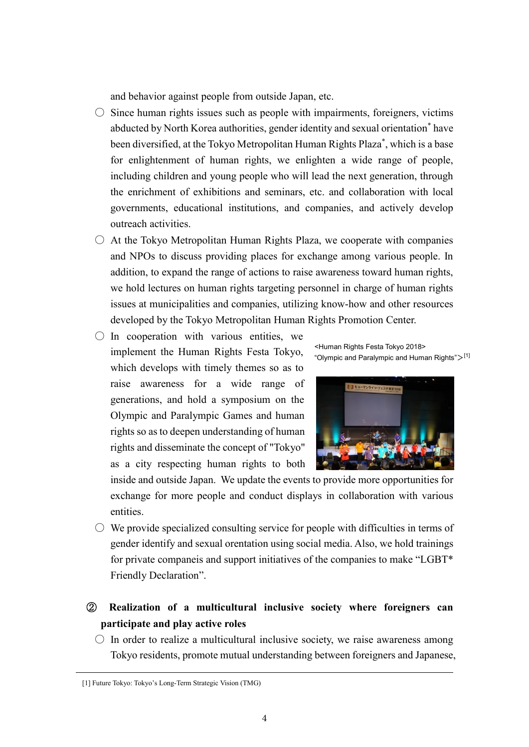and behavior against people from outside Japan, etc.

- $\circ$  Since human rights issues such as people with impairments, foreigners, victims abducted by North Korea authorities, gender identity and sexual orientation\* have been diversified, at the Tokyo Metropolitan Human Rights Plaza\* , which is a base for enlightenment of human rights, we enlighten a wide range of people, including children and young people who will lead the next generation, through the enrichment of exhibitions and seminars, etc. and collaboration with local governments, educational institutions, and companies, and actively develop outreach activities.
- $\circ$  At the Tokyo Metropolitan Human Rights Plaza, we cooperate with companies and NPOs to discuss providing places for exchange among various people. In addition, to expand the range of actions to raise awareness toward human rights, we hold lectures on human rights targeting personnel in charge of human rights issues at municipalities and companies, utilizing know-how and other resources developed by the Tokyo Metropolitan Human Rights Promotion Center.
- $\bigcirc$  In cooperation with various entities, we implement the Human Rights Festa Tokyo, which develops with timely themes so as to raise awareness for a wide range of generations, and hold a symposium on the Olympic and Paralympic Games and human rights so as to deepen understanding of human rights and disseminate the concept of "Tokyo" as a city respecting human rights to both

<Human Rights Festa Tokyo 2018> "Olympic and Paralympic and Human Rights" $>$ [1]



inside and outside Japan. We update the events to provide more opportunities for exchange for more people and conduct displays in collaboration with various entities.

- $\circlearrowright$  We provide specialized consulting service for people with difficulties in terms of gender identify and sexual orentation using social media. Also, we hold trainings for private companeis and support initiatives of the companies to make "LGBT\* Friendly Declaration".
- ② **Realization of a multicultural inclusive society where foreigners can participate and play active roles**
	- $\circ$  In order to realize a multicultural inclusive society, we raise awareness among Tokyo residents, promote mutual understanding between foreigners and Japanese,

<sup>[1]</sup> Future Tokyo: Tokyo's Long-Term Strategic Vision (TMG)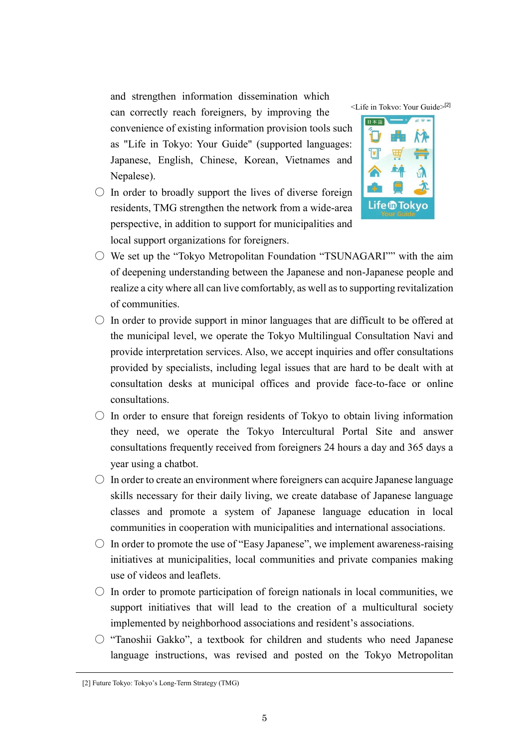and strengthen information dissemination which can correctly reach foreigners, by improving the convenience of existing information provision tools such as "Life in Tokyo: Your Guide" (supported languages: Japanese, English, Chinese, Korean, Vietnames and Nepalese).

 $\circ$  In order to broadly support the lives of diverse foreign residents, TMG strengthen the network from a wide-area perspective, in addition to support for municipalities and local support organizations for foreigners.





- $\circlearrowright$  We set up the "Tokyo Metropolitan Foundation "TSUNAGARI"" with the aim of deepening understanding between the Japanese and non-Japanese people and realize a city where all can live comfortably, as well as to supporting revitalization of communities.
- $\circ$  In order to provide support in minor languages that are difficult to be offered at the municipal level, we operate the Tokyo Multilingual Consultation Navi and provide interpretation services. Also, we accept inquiries and offer consultations provided by specialists, including legal issues that are hard to be dealt with at consultation desks at municipal offices and provide face-to-face or online consultations.
- $\circlearrowright$  In order to ensure that foreign residents of Tokyo to obtain living information they need, we operate the Tokyo Intercultural Portal Site and answer consultations frequently received from foreigners 24 hours a day and 365 days a year using a chatbot.
- $\circ$  In order to create an environment where foreigners can acquire Japanese language skills necessary for their daily living, we create database of Japanese language classes and promote a system of Japanese language education in local communities in cooperation with municipalities and international associations.
- $\circ$  In order to promote the use of "Easy Japanese", we implement awareness-raising initiatives at municipalities, local communities and private companies making use of videos and leaflets.
- $\circlearrowright$  In order to promote participation of foreign nationals in local communities, we support initiatives that will lead to the creation of a multicultural society implemented by neighborhood associations and resident's associations.
- "Tanoshii Gakko", a textbook for children and students who need Japanese language instructions, was revised and posted on the Tokyo Metropolitan

<sup>[2]</sup> Future Tokyo: Tokyo's Long-Term Strategy (TMG)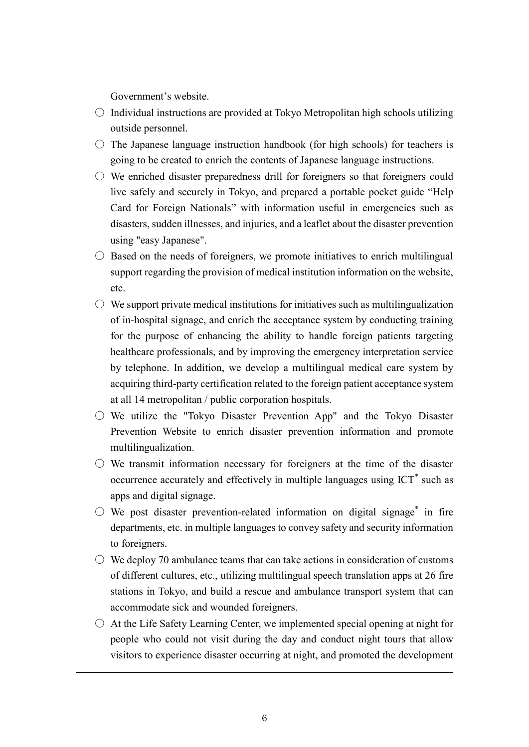Government's website.

- $\circ$  Individual instructions are provided at Tokyo Metropolitan high schools utilizing outside personnel.
- $\circ$  The Japanese language instruction handbook (for high schools) for teachers is going to be created to enrich the contents of Japanese language instructions.
- $\circlearrowright$  We enriched disaster preparedness drill for foreigners so that foreigners could live safely and securely in Tokyo, and prepared a portable pocket guide "Help Card for Foreign Nationals" with information useful in emergencies such as disasters, sudden illnesses, and injuries, and a leaflet about the disaster prevention using "easy Japanese".
- $\circ$  Based on the needs of foreigners, we promote initiatives to enrich multilingual support regarding the provision of medical institution information on the website, etc.
- $\circlearrowright$  We support private medical institutions for initiatives such as multilingualization of in-hospital signage, and enrich the acceptance system by conducting training for the purpose of enhancing the ability to handle foreign patients targeting healthcare professionals, and by improving the emergency interpretation service by telephone. In addition, we develop a multilingual medical care system by acquiring third-party certification related to the foreign patient acceptance system at all 14 metropolitan / public corporation hospitals.
- $\circ$  We utilize the "Tokyo Disaster Prevention App" and the Tokyo Disaster Prevention Website to enrich disaster prevention information and promote multilingualization.
- $\circ$  We transmit information necessary for foreigners at the time of the disaster occurrence accurately and effectively in multiple languages using  $\text{ICT}^*$  such as apps and digital signage.
- $\bigcirc$  We post disaster prevention-related information on digital signage\* in fire departments, etc. in multiple languages to convey safety and security information to foreigners.
- $\circ$  We deploy 70 ambulance teams that can take actions in consideration of customs of different cultures, etc., utilizing multilingual speech translation apps at 26 fire stations in Tokyo, and build a rescue and ambulance transport system that can accommodate sick and wounded foreigners.
- $\circ$  At the Life Safety Learning Center, we implemented special opening at night for people who could not visit during the day and conduct night tours that allow visitors to experience disaster occurring at night, and promoted the development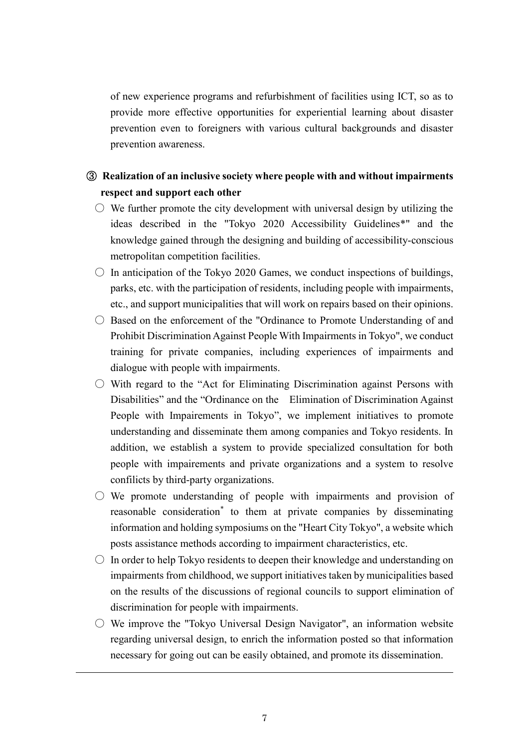of new experience programs and refurbishment of facilities using ICT, so as to provide more effective opportunities for experiential learning about disaster prevention even to foreigners with various cultural backgrounds and disaster prevention awareness.

## ③ **Realization of an inclusive society where people with and without impairments respect and support each other**

- $\circlearrowright$  We further promote the city development with universal design by utilizing the ideas described in the "Tokyo 2020 Accessibility Guidelines\*" and the knowledge gained through the designing and building of accessibility-conscious metropolitan competition facilities.
- $\circ$  In anticipation of the Tokyo 2020 Games, we conduct inspections of buildings, parks, etc. with the participation of residents, including people with impairments, etc., and support municipalities that will work on repairs based on their opinions.
- Based on the enforcement of the "Ordinance to Promote Understanding of and Prohibit Discrimination Against People With Impairments in Tokyo", we conduct training for private companies, including experiences of impairments and dialogue with people with impairments.
- $\circlearrowright$  With regard to the "Act for Eliminating Discrimination against Persons with Disabilities" and the "Ordinance on the Elimination of Discrimination Against People with Impairements in Tokyo", we implement initiatives to promote understanding and disseminate them among companies and Tokyo residents. In addition, we establish a system to provide specialized consultation for both people with impairements and private organizations and a system to resolve confilicts by third-party organizations.
- $\circ$  We promote understanding of people with impairments and provision of reasonable consideration\* to them at private companies by disseminating information and holding symposiums on the "Heart City Tokyo", a website which posts assistance methods according to impairment characteristics, etc.
- $\circ$  In order to help Tokyo residents to deepen their knowledge and understanding on impairments from childhood, we support initiatives taken by municipalities based on the results of the discussions of regional councils to support elimination of discrimination for people with impairments.
- $\circlearrowright$  We improve the "Tokyo Universal Design Navigator", an information website regarding universal design, to enrich the information posted so that information necessary for going out can be easily obtained, and promote its dissemination.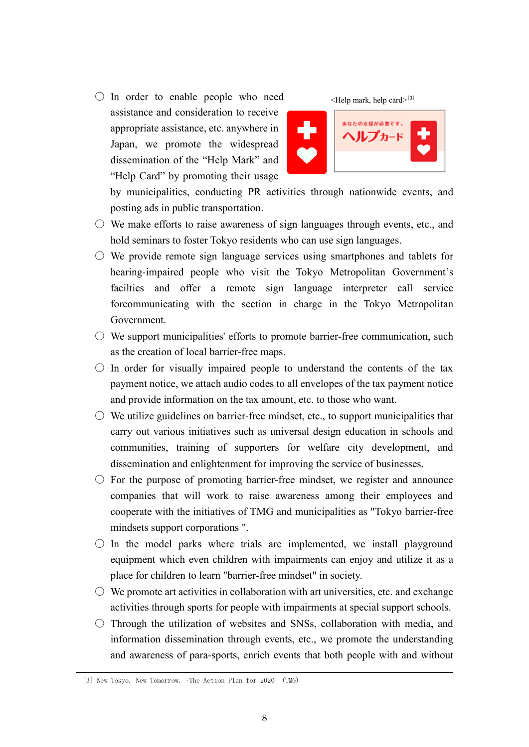$\bigcirc$  In order to enable people who need assistance and consideration to receive appropriate assistance, etc. anywhere in Japan, we promote the widespread dissemination of the "Help Mark" and "Help Card" by promoting their usage



by municipalities, conducting PR activities through nationwide events, and posting ads in public transportation.

- $\circlearrowright$  We make efforts to raise awareness of sign languages through events, etc., and hold seminars to foster Tokyo residents who can use sign languages.
- $\circ$  We provide remote sign language services using smartphones and tablets for hearing-impaired people who visit the Tokyo Metropolitan Government's facilties and offer a remote sign language interpreter call service forcommunicating with the section in charge in the Tokyo Metropolitan Government.
- $\circlearrowright$  We support municipalities' efforts to promote barrier-free communication, such as the creation of local barrier-free maps.
- $\bigcirc$  In order for visually impaired people to understand the contents of the tax payment notice, we attach audio codes to all envelopes of the tax payment notice and provide information on the tax amount, etc. to those who want.
- $\circlearrowright$  We utilize guidelines on barrier-free mindset, etc., to support municipalities that carry out various initiatives such as universal design education in schools and communities, training of supporters for welfare city development, and dissemination and enlightenment for improving the service of businesses.
- $\circ$  For the purpose of promoting barrier-free mindset, we register and announce companies that will work to raise awareness among their employees and cooperate with the initiatives of TMG and municipalities as "Tokyo barrier-free mindsets support corporations ".
- $\circ$  In the model parks where trials are implemented, we install playground equipment which even children with impairments can enjoy and utilize it as a place for children to learn "barrier-free mindset" in society.
- $\circlearrowright$  We promote art activities in collaboration with art universities, etc. and exchange activities through sports for people with impairments at special support schools.
- $\circ$  Through the utilization of websites and SNSs, collaboration with media, and information dissemination through events, etc., we promote the understanding and awareness of para-sports, enrich events that both people with and without

<sup>[3]</sup> New Tokyo. New Tomorrow. –The Action Plan for 2020- (TMG)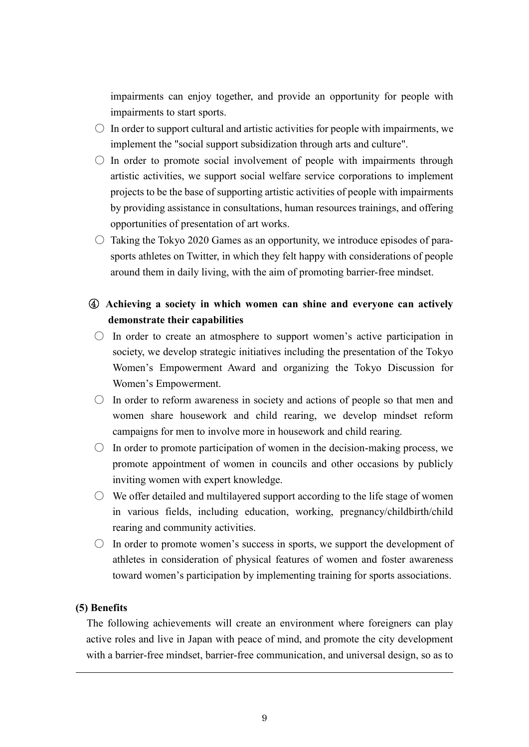impairments can enjoy together, and provide an opportunity for people with impairments to start sports.

- $\circ$  In order to support cultural and artistic activities for people with impairments, we implement the "social support subsidization through arts and culture".
- $\circ$  In order to promote social involvement of people with impairments through artistic activities, we support social welfare service corporations to implement projects to be the base of supporting artistic activities of people with impairments by providing assistance in consultations, human resources trainings, and offering opportunities of presentation of art works.
- $\circ$  Taking the Tokyo 2020 Games as an opportunity, we introduce episodes of parasports athletes on Twitter, in which they felt happy with considerations of people around them in daily living, with the aim of promoting barrier-free mindset.

## ④ **Achieving a society in which women can shine and everyone can actively demonstrate their capabilities**

- $\circ$  In order to create an atmosphere to support women's active participation in society, we develop strategic initiatives including the presentation of the Tokyo Women's Empowerment Award and organizing the Tokyo Discussion for Women's Empowerment.
- $\circ$  In order to reform awareness in society and actions of people so that men and women share housework and child rearing, we develop mindset reform campaigns for men to involve more in housework and child rearing.
- $\circ$  In order to promote participation of women in the decision-making process, we promote appointment of women in councils and other occasions by publicly inviting women with expert knowledge.
- $\circ$  We offer detailed and multilayered support according to the life stage of women in various fields, including education, working, pregnancy/childbirth/child rearing and community activities.
- $\circ$  In order to promote women's success in sports, we support the development of athletes in consideration of physical features of women and foster awareness toward women's participation by implementing training for sports associations.

#### **(5) Benefits**

The following achievements will create an environment where foreigners can play active roles and live in Japan with peace of mind, and promote the city development with a barrier-free mindset, barrier-free communication, and universal design, so as to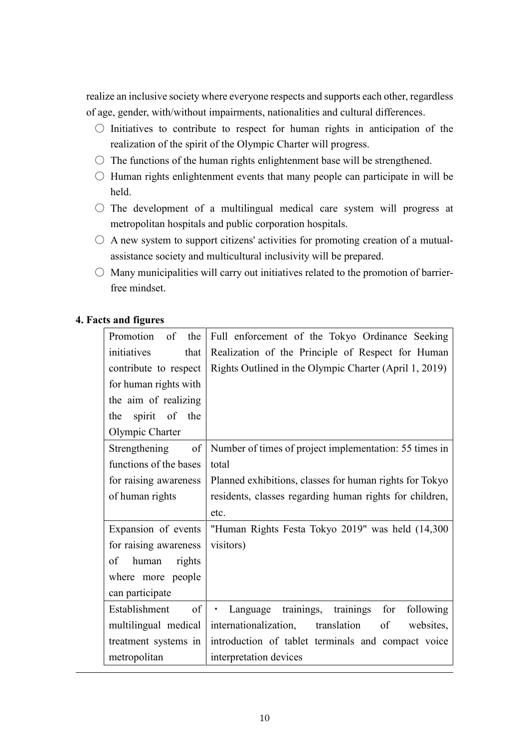realize an inclusive society where everyone respects and supports each other, regardless of age, gender, with/without impairments, nationalities and cultural differences.

- $\circ$  Initiatives to contribute to respect for human rights in anticipation of the realization of the spirit of the Olympic Charter will progress.
- $\circ$  The functions of the human rights enlightenment base will be strengthened.
- $\circ$  Human rights enlightenment events that many people can participate in will be held.
- $\circ$  The development of a multilingual medical care system will progress at metropolitan hospitals and public corporation hospitals.
- $\circ$  A new system to support citizens' activities for promoting creation of a mutualassistance society and multicultural inclusivity will be prepared.
- $\bigcirc$  Many municipalities will carry out initiatives related to the promotion of barrierfree mindset.

#### **4. Facts and figures**

| of the<br>Promotion    | Full enforcement of the Tokyo Ordinance Seeking                |  |
|------------------------|----------------------------------------------------------------|--|
| initiatives<br>that    | Realization of the Principle of Respect for Human              |  |
| contribute to respect  | Rights Outlined in the Olympic Charter (April 1, 2019)         |  |
| for human rights with  |                                                                |  |
| the aim of realizing   |                                                                |  |
| spirit of the<br>the   |                                                                |  |
| Olympic Charter        |                                                                |  |
| Strengthening of       | Number of times of project implementation: 55 times in         |  |
| functions of the bases | total                                                          |  |
| for raising awareness  | Planned exhibitions, classes for human rights for Tokyo        |  |
| of human rights        | residents, classes regarding human rights for children,        |  |
|                        | etc.                                                           |  |
| Expansion of events    | "Human Rights Festa Tokyo 2019" was held (14,300               |  |
| for raising awareness  | visitors)                                                      |  |
| of<br>human<br>rights  |                                                                |  |
| where more people      |                                                                |  |
| can participate        |                                                                |  |
| of<br>Establishment    | Language trainings, trainings<br>for<br>following<br>$\bullet$ |  |
| multilingual medical   | internationalization, translation<br>of<br>websites,           |  |
| treatment systems in   | introduction of tablet terminals and compact voice             |  |
| metropolitan           | interpretation devices                                         |  |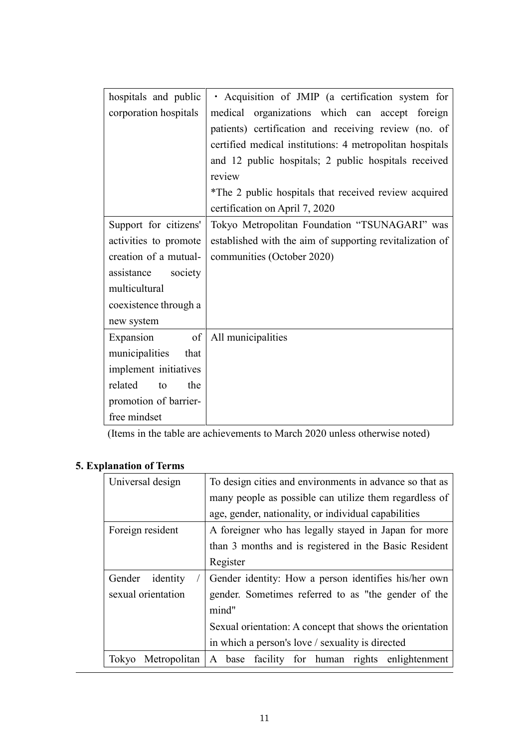| hospitals and public   | · Acquisition of JMIP (a certification system for        |  |
|------------------------|----------------------------------------------------------|--|
|                        |                                                          |  |
| corporation hospitals  | medical organizations which can accept foreign           |  |
|                        | patients) certification and receiving review (no. of     |  |
|                        | certified medical institutions: 4 metropolitan hospitals |  |
|                        | and 12 public hospitals; 2 public hospitals received     |  |
|                        | review                                                   |  |
|                        | *The 2 public hospitals that received review acquired    |  |
|                        | certification on April 7, 2020                           |  |
| Support for citizens'  | Tokyo Metropolitan Foundation "TSUNAGARI" was            |  |
| activities to promote  | established with the aim of supporting revitalization of |  |
| creation of a mutual-  | communities (October 2020)                               |  |
| society<br>assistance  |                                                          |  |
| multicultural          |                                                          |  |
| coexistence through a  |                                                          |  |
| new system             |                                                          |  |
| of<br>Expansion        | All municipalities                                       |  |
| municipalities<br>that |                                                          |  |
| implement initiatives  |                                                          |  |
| related<br>the<br>to   |                                                          |  |
| promotion of barrier-  |                                                          |  |
| free mindset           |                                                          |  |

(Items in the table are achievements to March 2020 unless otherwise noted)

# **5. Explanation of Terms**

| Universal design      | To design cities and environments in advance so that as  |  |  |
|-----------------------|----------------------------------------------------------|--|--|
|                       | many people as possible can utilize them regardless of   |  |  |
|                       | age, gender, nationality, or individual capabilities     |  |  |
| Foreign resident      | A foreigner who has legally stayed in Japan for more     |  |  |
|                       | than 3 months and is registered in the Basic Resident    |  |  |
|                       | Register                                                 |  |  |
| Gender<br>identity    | Gender identity: How a person identifies his/her own     |  |  |
| sexual orientation    | gender. Sometimes referred to as "the gender of the      |  |  |
|                       | mind"                                                    |  |  |
|                       | Sexual orientation: A concept that shows the orientation |  |  |
|                       | in which a person's love / sexuality is directed         |  |  |
| Metropolitan<br>Tokyo | enlightenment<br>A base facility for human rights        |  |  |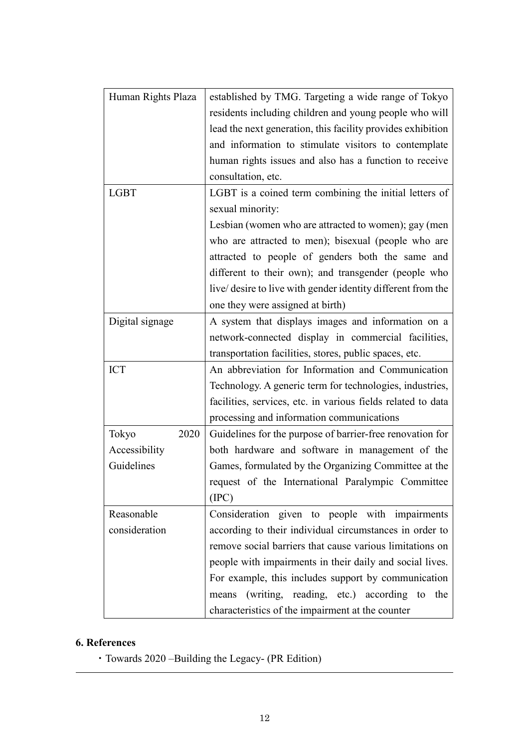| Human Rights Plaza | established by TMG. Targeting a wide range of Tokyo          |
|--------------------|--------------------------------------------------------------|
|                    | residents including children and young people who will       |
|                    | lead the next generation, this facility provides exhibition  |
|                    | and information to stimulate visitors to contemplate         |
|                    | human rights issues and also has a function to receive       |
|                    | consultation, etc.                                           |
| <b>LGBT</b>        | LGBT is a coined term combining the initial letters of       |
|                    | sexual minority:                                             |
|                    | Lesbian (women who are attracted to women); gay (men         |
|                    | who are attracted to men); bisexual (people who are          |
|                    | attracted to people of genders both the same and             |
|                    | different to their own); and transgender (people who         |
|                    | live/ desire to live with gender identity different from the |
|                    | one they were assigned at birth)                             |
| Digital signage    | A system that displays images and information on a           |
|                    | network-connected display in commercial facilities,          |
|                    | transportation facilities, stores, public spaces, etc.       |
| <b>ICT</b>         | An abbreviation for Information and Communication            |
|                    | Technology. A generic term for technologies, industries,     |
|                    | facilities, services, etc. in various fields related to data |
|                    | processing and information communications                    |
| Tokyo<br>2020      | Guidelines for the purpose of barrier-free renovation for    |
| Accessibility      | both hardware and software in management of the              |
| Guidelines         | Games, formulated by the Organizing Committee at the         |
|                    | request of the International Paralympic Committee            |
|                    | (IPC)                                                        |
| Reasonable         | Consideration given to people with impairments               |
| consideration      | according to their individual circumstances in order to      |
|                    | remove social barriers that cause various limitations on     |
|                    | people with impairments in their daily and social lives.     |
|                    | For example, this includes support by communication          |
|                    | (writing, reading, etc.) according to<br>the<br>means        |
|                    | characteristics of the impairment at the counter             |

## **6. References**

・Towards 2020 –Building the Legacy- (PR Edition)